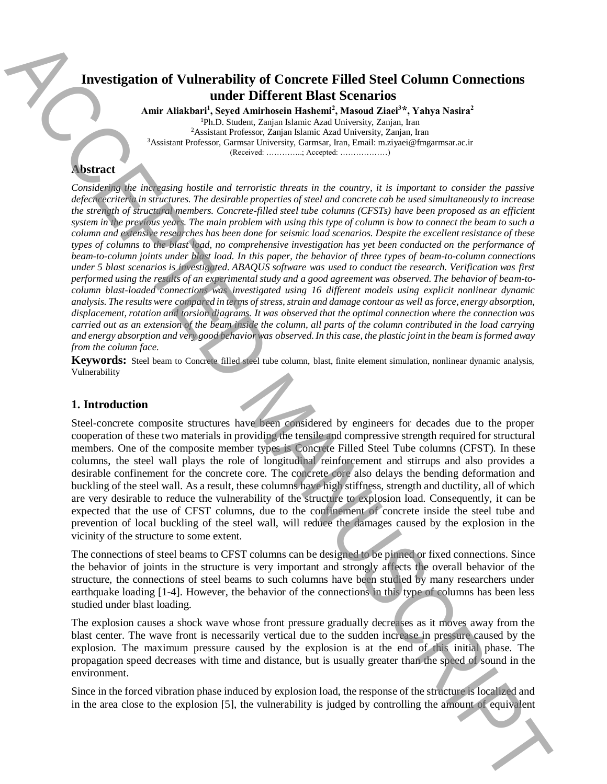## **Investigation of Vulnerability of Concrete Filled Steel Column Connections under Different Blast Scenarios**

**Amir Aliakbari<sup>1</sup> , Seyed Amirhosein Hashemi<sup>2</sup> , Masoud Ziaei<sup>3</sup>\*, Yahya Nasira<sup>2</sup>** <sup>1</sup>Ph.D. Student, Zanjan Islamic Azad University, Zanjan, Iran <sup>2</sup>Assistant Professor, Zanjan Islamic Azad University, Zanjan, Iran <sup>3</sup>Assistant Professor, Garmsar University, Garmsar, Iran, Email: m.ziyaei@fmgarmsar.ac.ir (Received: …………..; Accepted: ………………)

### **Abstract**

*Considering the increasing hostile and terroristic threats in the country, it is important to consider the passive defecncecriteria in structures. The desirable properties of steel and concrete cab be used simultaneously to increase the strength of structural members. Concrete-filled steel tube columns (CFSTs) have been proposed as an efficient system in the previous years. The main problem with using this type of column is how to connect the beam to such a column and extensive researches has been done for seismic load scenarios. Despite the excellent resistance of these types of columns to the blast load, no comprehensive investigation has yet been conducted on the performance of beam-to-column joints under blast load. In this paper, the behavior of three types of beam-to-column connections under 5 blast scenarios is investigated. ABAQUS software was used to conduct the research. Verification was first performed using the results of an experimental study and a good agreement was observed. The behavior of beam-tocolumn blast-loaded connections was investigated using 16 different models using explicit nonlinear dynamic analysis. The results were compared in terms of stress, strain and damage contour as well as force, energy absorption, displacement, rotation and torsion diagrams. It was observed that the optimal connection where the connection was carried out as an extension of the beam inside the column, all parts of the column contributed in the load carrying and energy absorption and very good behavior was observed. In this case, the plastic joint in the beam is formed away from the column face.* **Investigation of Vulnerability of Controlle The area controlling the area closed the vulnerability is the area closed the splendid Theoretical Theoretical Theoretical Theoretical Theoretical Theoretical Theoretical Theor** 

**Keywords:** Steel beam to Concrete filled steel tube column, blast, finite element simulation, nonlinear dynamic analysis, Vulnerability

### **1. Introduction**

Steel-concrete composite structures have been considered by engineers for decades due to the proper cooperation of these two materials in providing the tensile and compressive strength required for structural members. One of the composite member types is Concrete Filled Steel Tube columns (CFST). In these columns, the steel wall plays the role of longitudinal reinforcement and stirrups and also provides a desirable confinement for the concrete core. The concrete core also delays the bending deformation and buckling of the steel wall. As a result, these columns have high stiffness, strength and ductility, all of which are very desirable to reduce the vulnerability of the structure to explosion load. Consequently, it can be expected that the use of CFST columns, due to the confinement of concrete inside the steel tube and prevention of local buckling of the steel wall, will reduce the damages caused by the explosion in the vicinity of the structure to some extent.

The connections of steel beams to CFST columns can be designed to be pinned or fixed connections. Since the behavior of joints in the structure is very important and strongly affects the overall behavior of the structure, the connections of steel beams to such columns have been studied by many researchers under earthquake loading [1-4]. However, the behavior of the connections in this type of columns has been less studied under blast loading.

The explosion causes a shock wave whose front pressure gradually decreases as it moves away from the blast center. The wave front is necessarily vertical due to the sudden increase in pressure caused by the explosion. The maximum pressure caused by the explosion is at the end of this initial phase. The propagation speed decreases with time and distance, but is usually greater than the speed of sound in the environment.

Since in the forced vibration phase induced by explosion load, the response of the structure is localized and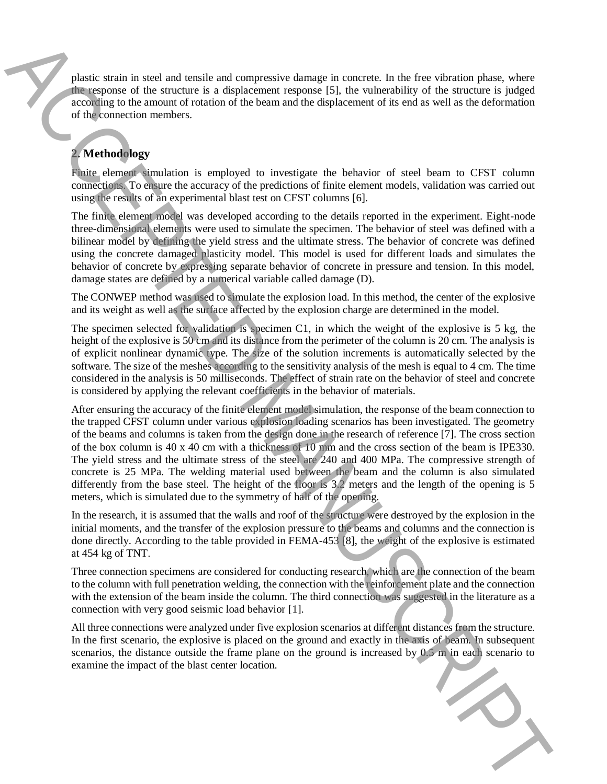plastic strain in steel and tensile and compressive damage in concrete. In the free vibration phase, where the response of the structure is a displacement response [5], the vulnerability of the structure is judged according to the amount of rotation of the beam and the displacement of its end as well as the deformation of the connection members.

# **2. Methodology**

Finite element simulation is employed to investigate the behavior of steel beam to CFST column connections. To ensure the accuracy of the predictions of finite element models, validation was carried out using the results of an experimental blast test on CFST columns [6].

The finite element model was developed according to the details reported in the experiment. Eight-node three-dimensional elements were used to simulate the specimen. The behavior of steel was defined with a bilinear model by defining the yield stress and the ultimate stress. The behavior of concrete was defined using the concrete damaged plasticity model. This model is used for different loads and simulates the behavior of concrete by expressing separate behavior of concrete in pressure and tension. In this model, damage states are defined by a numerical variable called damage (D).

The CONWEP method was used to simulate the explosion load. In this method, the center of the explosive and its weight as well as the surface affected by the explosion charge are determined in the model.

The specimen selected for validation is specimen C1, in which the weight of the explosive is 5 kg, the height of the explosive is 50 cm and its distance from the perimeter of the column is 20 cm. The analysis is of explicit nonlinear dynamic type. The size of the solution increments is automatically selected by the software. The size of the meshes according to the sensitivity analysis of the mesh is equal to 4 cm. The time considered in the analysis is 50 milliseconds. The effect of strain rate on the behavior of steel and concrete is considered by applying the relevant coefficients in the behavior of materials.

After ensuring the accuracy of the finite element model simulation, the response of the beam connection to the trapped CFST column under various explosion loading scenarios has been investigated. The geometry of the beams and columns is taken from the design done in the research of reference [7]. The cross section of the box column is 40 x 40 cm with a thickness of 10 mm and the cross section of the beam is IPE330. The yield stress and the ultimate stress of the steel are 240 and 400 MPa. The compressive strength of concrete is 25 MPa. The welding material used between the beam and the column is also simulated differently from the base steel. The height of the floor is 3.2 meters and the length of the opening is 5 meters, which is simulated due to the symmetry of half of the opening. For the main of the interaction of the blast center location of the interaction of the interaction of the blast center location of the blast center of the interaction of the interaction of the blast center of the distribu

In the research, it is assumed that the walls and roof of the structure were destroyed by the explosion in the initial moments, and the transfer of the explosion pressure to the beams and columns and the connection is done directly. According to the table provided in FEMA-453 [8], the weight of the explosive is estimated at 454 kg of TNT.

Three connection specimens are considered for conducting research, which are the connection of the beam to the column with full penetration welding, the connection with the reinforcement plate and the connection with the extension of the beam inside the column. The third connection was suggested in the literature as a connection with very good seismic load behavior [1].

All three connections were analyzed under five explosion scenarios at different distances from the structure. In the first scenario, the explosive is placed on the ground and exactly in the axis of beam. In subsequent scenarios, the distance outside the frame plane on the ground is increased by  $0.5 \text{ m}$  in each scenario to